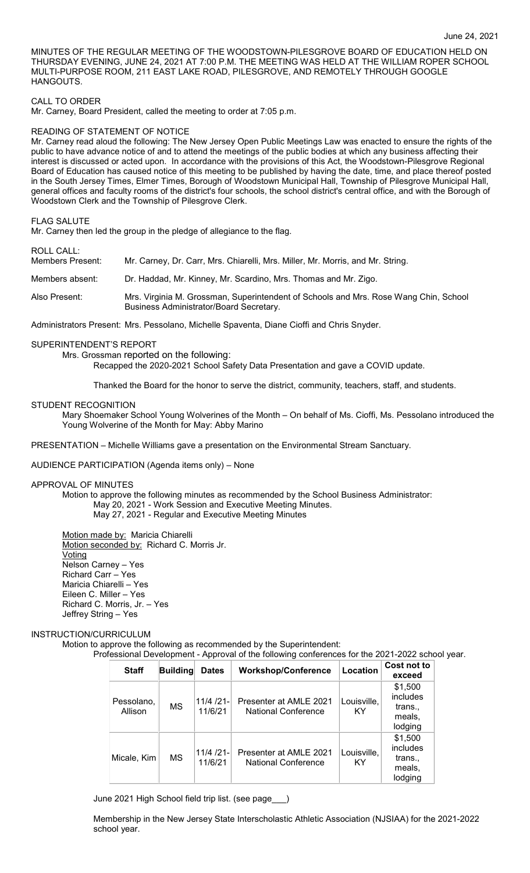MINUTES OF THE REGULAR MEETING OF THE WOODSTOWN-PILESGROVE BOARD OF EDUCATION HELD ON THURSDAY EVENING, JUNE 24, 2021 AT 7:00 P.M. THE MEETING WAS HELD AT THE WILLIAM ROPER SCHOOL MULTI-PURPOSE ROOM, 211 EAST LAKE ROAD, PILESGROVE, AND REMOTELY THROUGH GOOGLE HANGOUTS.

## CALL TO ORDER

Mr. Carney, Board President, called the meeting to order at 7:05 p.m.

#### READING OF STATEMENT OF NOTICE

Mr. Carney read aloud the following: The New Jersey Open Public Meetings Law was enacted to ensure the rights of the public to have advance notice of and to attend the meetings of the public bodies at which any business affecting their interest is discussed or acted upon. In accordance with the provisions of this Act, the Woodstown-Pilesgrove Regional Board of Education has caused notice of this meeting to be published by having the date, time, and place thereof posted in the South Jersey Times, Elmer Times, Borough of Woodstown Municipal Hall, Township of Pilesgrove Municipal Hall, general offices and faculty rooms of the district's four schools, the school district's central office, and with the Borough of Woodstown Clerk and the Township of Pilesgrove Clerk.

#### FLAG SALUTE

Mr. Carney then led the group in the pledge of allegiance to the flag.

# ROLL CALL:

| Members Present: | Mr. Carney, Dr. Carr, Mrs. Chiarelli, Mrs. Miller, Mr. Morris, and Mr. String.                                                  |
|------------------|---------------------------------------------------------------------------------------------------------------------------------|
| Members absent:  | Dr. Haddad, Mr. Kinney, Mr. Scardino, Mrs. Thomas and Mr. Zigo.                                                                 |
| Also Present:    | Mrs. Virginia M. Grossman, Superintendent of Schools and Mrs. Rose Wang Chin, School<br>Business Administrator/Board Secretary. |

Administrators Present: Mrs. Pessolano, Michelle Spaventa, Diane Cioffi and Chris Snyder.

### SUPERINTENDENT'S REPORT

Mrs. Grossman reported on the following:

Recapped the 2020-2021 School Safety Data Presentation and gave a COVID update.

Thanked the Board for the honor to serve the district, community, teachers, staff, and students.

## STUDENT RECOGNITION

Mary Shoemaker School Young Wolverines of the Month – On behalf of Ms. Cioffi, Ms. Pessolano introduced the Young Wolverine of the Month for May: Abby Marino

PRESENTATION – Michelle Williams gave a presentation on the Environmental Stream Sanctuary.

#### AUDIENCE PARTICIPATION (Agenda items only) – None

#### APPROVAL OF MINUTES

Motion to approve the following minutes as recommended by the School Business Administrator: May 20, 2021 - Work Session and Executive Meeting Minutes. May 27, 2021 - Regular and Executive Meeting Minutes

Motion made by: Maricia Chiarelli Motion seconded by: Richard C. Morris Jr. <u>Voting</u> Nelson Carney – Yes Richard Carr – Yes Maricia Chiarelli – Yes Eileen C. Miller – Yes Richard C. Morris, Jr. – Yes Jeffrey String – Yes

## INSTRUCTION/CURRICULUM

Motion to approve the following as recommended by the Superintendent:

Professional Development - Approval of the following conferences for the 2021-2022 school year.

| <b>Staff</b>          | <b>Building</b> | <b>Dates</b>            | <b>Workshop/Conference</b>                           | Location          | Cost not to<br>exceed                               |
|-----------------------|-----------------|-------------------------|------------------------------------------------------|-------------------|-----------------------------------------------------|
| Pessolano,<br>Allison | <b>MS</b>       | $11/4 /21$ -<br>11/6/21 | Presenter at AMLE 2021<br><b>National Conference</b> | Louisville,<br>KY | \$1,500<br>includes<br>trans.,<br>meals,<br>lodging |
| Micale, Kim           | МS              | $11/4 /21$ -<br>11/6/21 | Presenter at AMLE 2021<br><b>National Conference</b> | Louisville.<br>KY | \$1,500<br>includes<br>trans<br>meals,<br>lodging   |

June 2021 High School field trip list. (see page\_\_\_)

Membership in the New Jersey State Interscholastic Athletic Association (NJSIAA) for the 2021-2022 school year.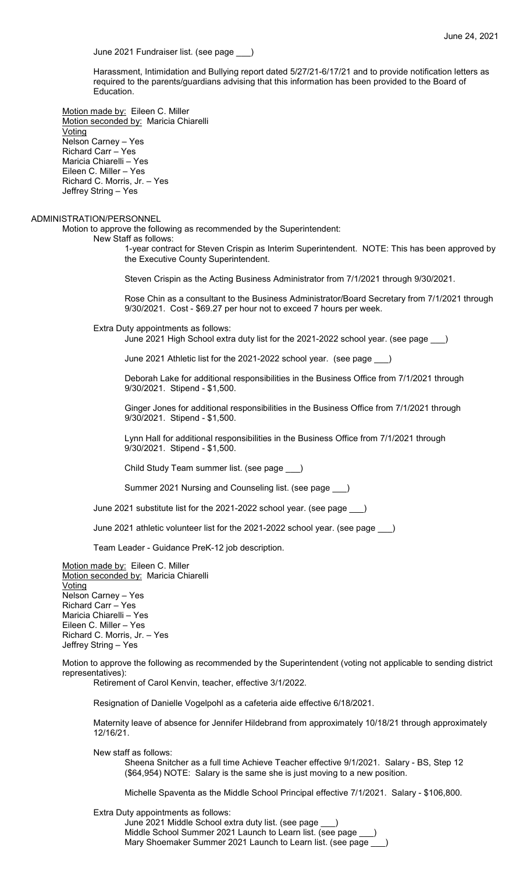June 2021 Fundraiser list. (see page \_\_\_)

Harassment, Intimidation and Bullying report dated 5/27/21-6/17/21 and to provide notification letters as required to the parents/guardians advising that this information has been provided to the Board of Education.

Motion made by: Eileen C. Miller Motion seconded by: Maricia Chiarelli Voting Nelson Carney – Yes Richard Carr – Yes Maricia Chiarelli – Yes Eileen C. Miller – Yes Richard C. Morris, Jr. – Yes Jeffrey String – Yes

#### ADMINISTRATION/PERSONNEL

Motion to approve the following as recommended by the Superintendent:

New Staff as follows:

1-year contract for Steven Crispin as Interim Superintendent. NOTE: This has been approved by the Executive County Superintendent.

Steven Crispin as the Acting Business Administrator from 7/1/2021 through 9/30/2021.

Rose Chin as a consultant to the Business Administrator/Board Secretary from 7/1/2021 through 9/30/2021. Cost - \$69.27 per hour not to exceed 7 hours per week.

Extra Duty appointments as follows:

June 2021 High School extra duty list for the 2021-2022 school year. (see page \_\_\_)

June 2021 Athletic list for the 2021-2022 school year. (see page \_\_\_)

Deborah Lake for additional responsibilities in the Business Office from 7/1/2021 through 9/30/2021. Stipend - \$1,500.

Ginger Jones for additional responsibilities in the Business Office from 7/1/2021 through 9/30/2021. Stipend - \$1,500.

Lynn Hall for additional responsibilities in the Business Office from 7/1/2021 through 9/30/2021. Stipend - \$1,500.

Child Study Team summer list. (see page \_\_\_)

Summer 2021 Nursing and Counseling list. (see page \_\_\_)

June 2021 substitute list for the 2021-2022 school year. (see page \_\_\_)

June 2021 athletic volunteer list for the 2021-2022 school year. (see page \_\_\_)

Team Leader - Guidance PreK-12 job description.

Motion made by: Eileen C. Miller Motion seconded by: Maricia Chiarelli Voting Nelson Carney – Yes Richard Carr – Yes Maricia Chiarelli – Yes Eileen C. Miller – Yes Richard C. Morris, Jr. – Yes Jeffrey String – Yes

Motion to approve the following as recommended by the Superintendent (voting not applicable to sending district representatives):

Retirement of Carol Kenvin, teacher, effective 3/1/2022.

Resignation of Danielle Vogelpohl as a cafeteria aide effective 6/18/2021.

Maternity leave of absence for Jennifer Hildebrand from approximately 10/18/21 through approximately 12/16/21.

New staff as follows:

Sheena Snitcher as a full time Achieve Teacher effective 9/1/2021. Salary - BS, Step 12 (\$64,954) NOTE: Salary is the same she is just moving to a new position.

Michelle Spaventa as the Middle School Principal effective 7/1/2021. Salary - \$106,800.

Extra Duty appointments as follows:

June 2021 Middle School extra duty list. (see page \_\_\_) Middle School Summer 2021 Launch to Learn list. (see page Mary Shoemaker Summer 2021 Launch to Learn list. (see page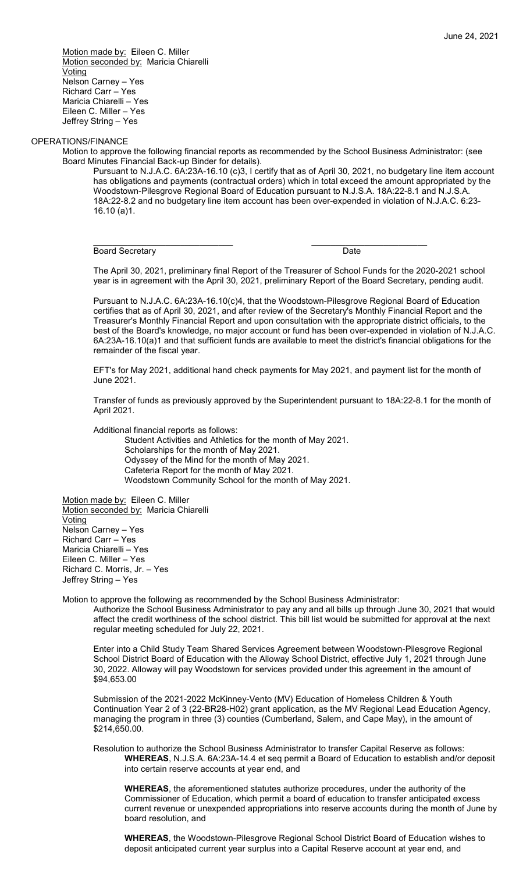Motion made by: Eileen C. Miller Motion seconded by: Maricia Chiarelli **Voting** Nelson Carney – Yes Richard Carr – Yes Maricia Chiarelli – Yes Eileen C. Miller – Yes Jeffrey String – Yes

# OPERATIONS/FINANCE

Motion to approve the following financial reports as recommended by the School Business Administrator: (see Board Minutes Financial Back-up Binder for details).

\_\_\_\_\_\_\_\_\_\_\_\_\_\_\_\_\_\_\_\_\_\_\_\_\_\_\_\_\_ \_\_\_\_\_\_\_\_\_\_\_\_\_\_\_\_\_\_\_\_\_\_\_\_

Pursuant to N.J.A.C. 6A:23A-16.10 (c)3, I certify that as of April 30, 2021, no budgetary line item account has obligations and payments (contractual orders) which in total exceed the amount appropriated by the Woodstown-Pilesgrove Regional Board of Education pursuant to N.J.S.A. 18A:22-8.1 and N.J.S.A. 18A:22-8.2 and no budgetary line item account has been over-expended in violation of N.J.A.C. 6:23- 16.10 (a)1.

Board Secretary Date

The April 30, 2021, preliminary final Report of the Treasurer of School Funds for the 2020-2021 school year is in agreement with the April 30, 2021, preliminary Report of the Board Secretary, pending audit.

Pursuant to N.J.A.C. 6A:23A-16.10(c)4, that the Woodstown-Pilesgrove Regional Board of Education certifies that as of April 30, 2021, and after review of the Secretary's Monthly Financial Report and the Treasurer's Monthly Financial Report and upon consultation with the appropriate district officials, to the best of the Board's knowledge, no major account or fund has been over-expended in violation of N.J.A.C. 6A:23A-16.10(a)1 and that sufficient funds are available to meet the district's financial obligations for the remainder of the fiscal year.

EFT's for May 2021, additional hand check payments for May 2021, and payment list for the month of June 2021.

Transfer of funds as previously approved by the Superintendent pursuant to 18A:22-8.1 for the month of April 2021.

Additional financial reports as follows:

Student Activities and Athletics for the month of May 2021. Scholarships for the month of May 2021. Odyssey of the Mind for the month of May 2021. Cafeteria Report for the month of May 2021. Woodstown Community School for the month of May 2021.

Motion made by: Eileen C. Miller Motion seconded by: Maricia Chiarelli Voting Nelson Carney – Yes Richard Carr – Yes Maricia Chiarelli – Yes Eileen C. Miller – Yes Richard C. Morris, Jr. – Yes Jeffrey String – Yes

Motion to approve the following as recommended by the School Business Administrator:

Authorize the School Business Administrator to pay any and all bills up through June 30, 2021 that would affect the credit worthiness of the school district. This bill list would be submitted for approval at the next regular meeting scheduled for July 22, 2021.

Enter into a Child Study Team Shared Services Agreement between Woodstown-Pilesgrove Regional School District Board of Education with the Alloway School District, effective July 1, 2021 through June 30, 2022. Alloway will pay Woodstown for services provided under this agreement in the amount of \$94,653.00

Submission of the 2021-2022 McKinney-Vento (MV) Education of Homeless Children & Youth Continuation Year 2 of 3 (22-BR28-H02) grant application, as the MV Regional Lead Education Agency, managing the program in three (3) counties (Cumberland, Salem, and Cape May), in the amount of \$214,650.00.

Resolution to authorize the School Business Administrator to transfer Capital Reserve as follows: **WHEREAS**, N.J.S.A. 6A:23A-14.4 et seq permit a Board of Education to establish and/or deposit into certain reserve accounts at year end, and

**WHEREAS**, the aforementioned statutes authorize procedures, under the authority of the Commissioner of Education, which permit a board of education to transfer anticipated excess current revenue or unexpended appropriations into reserve accounts during the month of June by board resolution, and

**WHEREAS**, the Woodstown-Pilesgrove Regional School District Board of Education wishes to deposit anticipated current year surplus into a Capital Reserve account at year end, and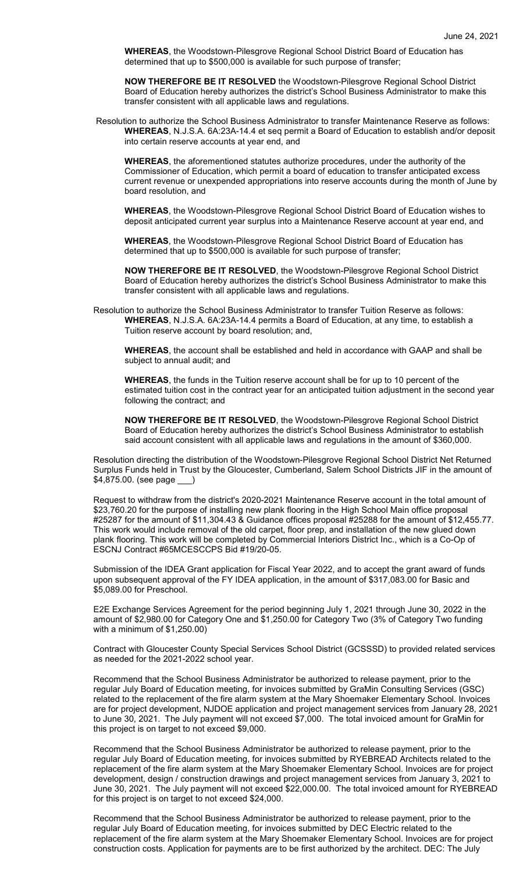**WHEREAS**, the Woodstown-Pilesgrove Regional School District Board of Education has determined that up to \$500,000 is available for such purpose of transfer;

**NOW THEREFORE BE IT RESOLVED** the Woodstown-Pilesgrove Regional School District Board of Education hereby authorizes the district's School Business Administrator to make this transfer consistent with all applicable laws and regulations.

Resolution to authorize the School Business Administrator to transfer Maintenance Reserve as follows: **WHEREAS**, N.J.S.A. 6A:23A-14.4 et seq permit a Board of Education to establish and/or deposit into certain reserve accounts at year end, and

**WHEREAS**, the aforementioned statutes authorize procedures, under the authority of the Commissioner of Education, which permit a board of education to transfer anticipated excess current revenue or unexpended appropriations into reserve accounts during the month of June by board resolution, and

**WHEREAS**, the Woodstown-Pilesgrove Regional School District Board of Education wishes to deposit anticipated current year surplus into a Maintenance Reserve account at year end, and

**WHEREAS**, the Woodstown-Pilesgrove Regional School District Board of Education has determined that up to \$500,000 is available for such purpose of transfer;

**NOW THEREFORE BE IT RESOLVED**, the Woodstown-Pilesgrove Regional School District Board of Education hereby authorizes the district's School Business Administrator to make this transfer consistent with all applicable laws and regulations.

Resolution to authorize the School Business Administrator to transfer Tuition Reserve as follows: **WHEREAS**, N.J.S.A. 6A:23A-14.4 permits a Board of Education, at any time, to establish a Tuition reserve account by board resolution; and,

**WHEREAS**, the account shall be established and held in accordance with GAAP and shall be subject to annual audit; and

**WHEREAS**, the funds in the Tuition reserve account shall be for up to 10 percent of the estimated tuition cost in the contract year for an anticipated tuition adjustment in the second year following the contract; and

**NOW THEREFORE BE IT RESOLVED**, the Woodstown-Pilesgrove Regional School District Board of Education hereby authorizes the district's School Business Administrator to establish said account consistent with all applicable laws and regulations in the amount of \$360,000.

Resolution directing the distribution of the Woodstown-Pilesgrove Regional School District Net Returned Surplus Funds held in Trust by the Gloucester, Cumberland, Salem School Districts JIF in the amount of \$4,875.00. (see page \_\_\_)

Request to withdraw from the district's 2020-2021 Maintenance Reserve account in the total amount of \$23,760.20 for the purpose of installing new plank flooring in the High School Main office proposal #25287 for the amount of \$11,304.43 & Guidance offices proposal #25288 for the amount of \$12,455.77. This work would include removal of the old carpet, floor prep, and installation of the new glued down plank flooring. This work will be completed by Commercial Interiors District Inc., which is a Co-Op of ESCNJ Contract #65MCESCCPS Bid #19/20-05.

Submission of the IDEA Grant application for Fiscal Year 2022, and to accept the grant award of funds upon subsequent approval of the FY IDEA application, in the amount of \$317,083.00 for Basic and \$5,089.00 for Preschool.

E2E Exchange Services Agreement for the period beginning July 1, 2021 through June 30, 2022 in the amount of \$2,980.00 for Category One and \$1,250.00 for Category Two (3% of Category Two funding with a minimum of \$1,250.00)

Contract with Gloucester County Special Services School District (GCSSSD) to provided related services as needed for the 2021-2022 school year.

Recommend that the School Business Administrator be authorized to release payment, prior to the regular July Board of Education meeting, for invoices submitted by GraMin Consulting Services (GSC) related to the replacement of the fire alarm system at the Mary Shoemaker Elementary School. Invoices are for project development, NJDOE application and project management services from January 28, 2021 to June 30, 2021. The July payment will not exceed \$7,000. The total invoiced amount for GraMin for this project is on target to not exceed \$9,000.

Recommend that the School Business Administrator be authorized to release payment, prior to the regular July Board of Education meeting, for invoices submitted by RYEBREAD Architects related to the replacement of the fire alarm system at the Mary Shoemaker Elementary School. Invoices are for project development, design / construction drawings and project management services from January 3, 2021 to June 30, 2021. The July payment will not exceed \$22,000.00. The total invoiced amount for RYEBREAD for this project is on target to not exceed \$24,000.

Recommend that the School Business Administrator be authorized to release payment, prior to the regular July Board of Education meeting, for invoices submitted by DEC Electric related to the replacement of the fire alarm system at the Mary Shoemaker Elementary School. Invoices are for project construction costs. Application for payments are to be first authorized by the architect. DEC: The July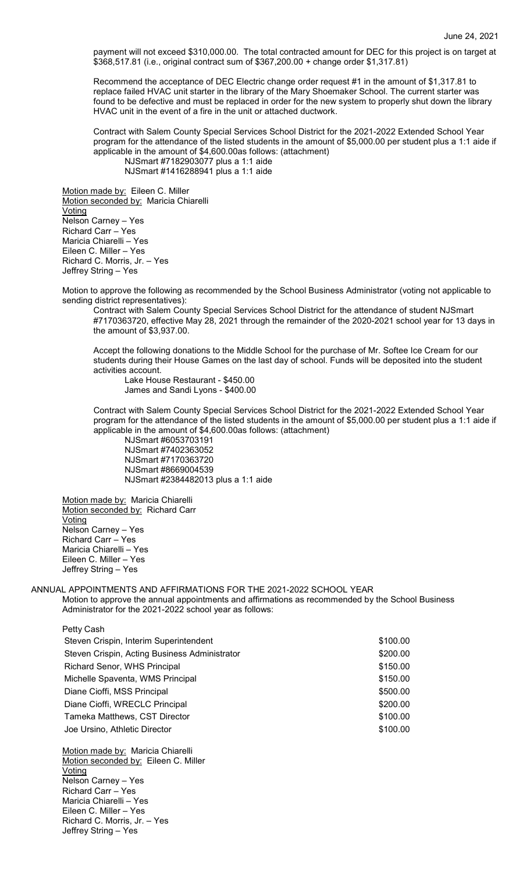payment will not exceed \$310,000.00. The total contracted amount for DEC for this project is on target at \$368,517.81 (i.e., original contract sum of \$367,200.00 + change order \$1,317.81)

Recommend the acceptance of DEC Electric change order request #1 in the amount of \$1,317.81 to replace failed HVAC unit starter in the library of the Mary Shoemaker School. The current starter was found to be defective and must be replaced in order for the new system to properly shut down the library HVAC unit in the event of a fire in the unit or attached ductwork.

Contract with Salem County Special Services School District for the 2021-2022 Extended School Year program for the attendance of the listed students in the amount of \$5,000.00 per student plus a 1:1 aide if applicable in the amount of \$4,600.00as follows: (attachment)

NJSmart #7182903077 plus a 1:1 aide NJSmart #1416288941 plus a 1:1 aide

Motion made by: Eileen C. Miller Motion seconded by: Maricia Chiarelli Voting Nelson Carney – Yes Richard Carr – Yes Maricia Chiarelli – Yes Eileen C. Miller – Yes Richard C. Morris, Jr. – Yes Jeffrey String – Yes

Motion to approve the following as recommended by the School Business Administrator (voting not applicable to sending district representatives):

Contract with Salem County Special Services School District for the attendance of student NJSmart #7170363720, effective May 28, 2021 through the remainder of the 2020-2021 school year for 13 days in the amount of \$3,937.00.

Accept the following donations to the Middle School for the purchase of Mr. Softee Ice Cream for our students during their House Games on the last day of school. Funds will be deposited into the student activities account.

Lake House Restaurant - \$450.00 James and Sandi Lyons - \$400.00

Contract with Salem County Special Services School District for the 2021-2022 Extended School Year program for the attendance of the listed students in the amount of \$5,000.00 per student plus a 1:1 aide if applicable in the amount of \$4,600.00as follows: (attachment)

NJSmart #6053703191 NJSmart #7402363052 NJSmart #7170363720 NJSmart #8669004539 NJSmart #2384482013 plus a 1:1 aide

Motion made by: Maricia Chiarelli Motion seconded by: Richard Carr Voting Nelson Carney – Yes Richard Carr – Yes Maricia Chiarelli – Yes Eileen C. Miller – Yes Jeffrey String – Yes

ANNUAL APPOINTMENTS AND AFFIRMATIONS FOR THE 2021-2022 SCHOOL YEAR Motion to approve the annual appointments and affirmations as recommended by the School Business Administrator for the 2021-2022 school year as follows:

Petty Cash Steven Crispin, Interim Superintendent **\$100.00** \$100.00 Steven Crispin, Acting Business Administrator **\$200.00** \$200.00 Richard Senor, WHS Principal  $$150.00$ Michelle Spaventa, WMS Principal **\$150.00 \$150.00** Diane Cioffi, MSS Principal **\$500.00** and \$500.00 Diane Cioffi, WRECLC Principal **\$200.00** \$200.00 Tameka Matthews, CST Director  $$100.00$ Joe Ursino, Athletic Director \$100.00

Motion made by: Maricia Chiarelli Motion seconded by: Eileen C. Miller Voting Nelson Carney – Yes Richard Carr – Yes Maricia Chiarelli – Yes Eileen C. Miller – Yes Richard C. Morris, Jr. – Yes Jeffrey String – Yes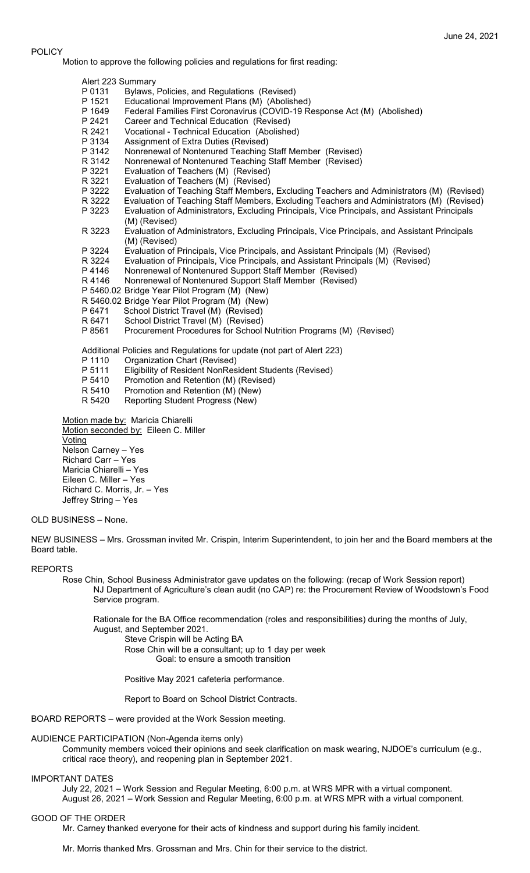## POLICY

Motion to approve the following policies and regulations for first reading:

- Alert 223 Summary
- P 0131 Bylaws, Policies, and Regulations (Revised)
- P 1521 Educational Improvement Plans (M) (Abolished)
- Federal Families First Coronavirus (COVID-19 Response Act (M) (Abolished)
- P 2421 Career and Technical Education (Revised)
- R 2421 Vocational Technical Education (Abolished)<br>P 3134 Assignment of Extra Duties (Revised)
- P 3134 Assignment of Extra Duties (Revised)<br>P 3142 Nonrenewal of Nontenured Teaching
- P 3142 Nonrenewal of Nontenured Teaching Staff Member (Revised)
- R 3142 Nonrenewal of Nontenured Teaching Staff Member (Revised)<br>P 3221 Evaluation of Teachers (M) (Revised)
- P 3221 Evaluation of Teachers (M) (Revised)
- Evaluation of Teachers (M) (Revised)
- P 3222 Evaluation of Teaching Staff Members, Excluding Teachers and Administrators (M) (Revised)<br>R 3222 Evaluation of Teaching Staff Members, Excluding Teachers and Administrators (M) (Revised)
- Evaluation of Teaching Staff Members, Excluding Teachers and Administrators (M) (Revised)
- P 3223 Evaluation of Administrators, Excluding Principals, Vice Principals, and Assistant Principals (M) (Revised)
- R 3223 Evaluation of Administrators, Excluding Principals, Vice Principals, and Assistant Principals (M) (Revised)
- P 3224 Evaluation of Principals, Vice Principals, and Assistant Principals (M) (Revised)
- R 3224 Evaluation of Principals, Vice Principals, and Assistant Principals (M) (Revised)
- P 4146 Nonrenewal of Nontenured Support Staff Member (Revised)
- R 4146 Nonrenewal of Nontenured Support Staff Member (Revised)
- P 5460.02 Bridge Year Pilot Program (M) (New)
- R 5460.02 Bridge Year Pilot Program (M) (New)
- P 6471 School District Travel (M) (Revised)<br>R 6471 School District Travel (M) (Revised)
- School District Travel (M) (Revised)
- P 8561 Procurement Procedures for School Nutrition Programs (M) (Revised)

Additional Policies and Regulations for update (not part of Alert 223)

- P 1110 Organization Chart (Revised)<br>P 5111 Eligibility of Resident NonRes
- Eligibility of Resident NonResident Students (Revised)
- P 5410 Promotion and Retention (M) (Revised)<br>R 5410 Promotion and Retention (M) (New)
- Promotion and Retention (M) (New)
- R 5420 Reporting Student Progress (New)

Motion made by: Maricia Chiarelli Motion seconded by: Eileen C. Miller Voting Nelson Carney – Yes Richard Carr – Yes Maricia Chiarelli – Yes Eileen C. Miller – Yes Richard C. Morris, Jr. – Yes Jeffrey String – Yes

# OLD BUSINESS – None.

NEW BUSINESS – Mrs. Grossman invited Mr. Crispin, Interim Superintendent, to join her and the Board members at the Board table.

#### REPORTS

Rose Chin, School Business Administrator gave updates on the following: (recap of Work Session report) NJ Department of Agriculture's clean audit (no CAP) re: the Procurement Review of Woodstown's Food Service program.

Rationale for the BA Office recommendation (roles and responsibilities) during the months of July, August, and September 2021.

Steve Crispin will be Acting BA

Rose Chin will be a consultant; up to 1 day per week Goal: to ensure a smooth transition

Positive May 2021 cafeteria performance.

Report to Board on School District Contracts.

BOARD REPORTS – were provided at the Work Session meeting.

## AUDIENCE PARTICIPATION (Non-Agenda items only)

Community members voiced their opinions and seek clarification on mask wearing, NJDOE's curriculum (e.g., critical race theory), and reopening plan in September 2021.

#### IMPORTANT DATES

July 22, 2021 – Work Session and Regular Meeting, 6:00 p.m. at WRS MPR with a virtual component. August 26, 2021 – Work Session and Regular Meeting, 6:00 p.m. at WRS MPR with a virtual component.

## GOOD OF THE ORDER

Mr. Carney thanked everyone for their acts of kindness and support during his family incident.

Mr. Morris thanked Mrs. Grossman and Mrs. Chin for their service to the district.